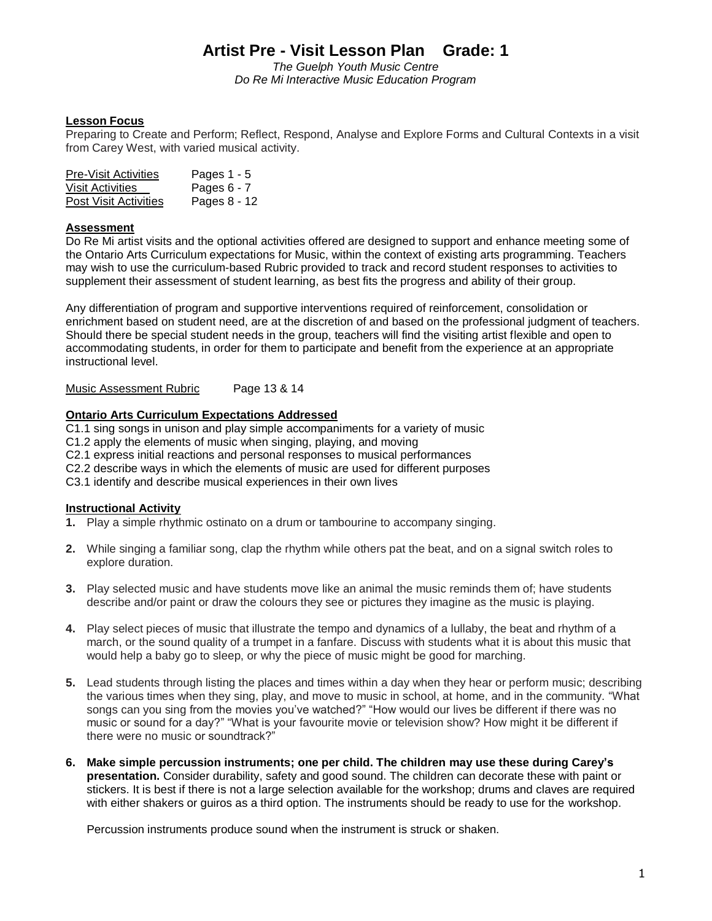*The Guelph Youth Music Centre Do Re Mi Interactive Music Education Program*

### **Lesson Focus**

Preparing to Create and Perform; Reflect, Respond, Analyse and Explore Forms and Cultural Contexts in a visit from Carey West, with varied musical activity.

| <b>Pre-Visit Activities</b> | Pages 1 - 5   |
|-----------------------------|---------------|
| Visit Activities            | Pages $6 - 7$ |
| Post Visit Activities       | Pages 8 - 12  |

### **Assessment**

Do Re Mi artist visits and the optional activities offered are designed to support and enhance meeting some of the Ontario Arts Curriculum expectations for Music, within the context of existing arts programming. Teachers may wish to use the curriculum-based Rubric provided to track and record student responses to activities to supplement their assessment of student learning, as best fits the progress and ability of their group.

Any differentiation of program and supportive interventions required of reinforcement, consolidation or enrichment based on student need, are at the discretion of and based on the professional judgment of teachers. Should there be special student needs in the group, teachers will find the visiting artist flexible and open to accommodating students, in order for them to participate and benefit from the experience at an appropriate instructional level.

Music Assessment Rubric Page 13 & 14

### **Ontario Arts Curriculum Expectations Addressed**

C1.1 sing songs in unison and play simple accompaniments for a variety of music

C1.2 apply the elements of music when singing, playing, and moving

C2.1 express initial reactions and personal responses to musical performances

C2.2 describe ways in which the elements of music are used for different purposes

C3.1 identify and describe musical experiences in their own lives

### **Instructional Activity**

- **1.** Play a simple rhythmic ostinato on a drum or tambourine to accompany singing.
- **2.** While singing a familiar song, clap the rhythm while others pat the beat, and on a signal switch roles to explore duration.
- **3.** Play selected music and have students move like an animal the music reminds them of; have students describe and/or paint or draw the colours they see or pictures they imagine as the music is playing.
- **4.** Play select pieces of music that illustrate the tempo and dynamics of a lullaby, the beat and rhythm of a march, or the sound quality of a trumpet in a fanfare. Discuss with students what it is about this music that would help a baby go to sleep, or why the piece of music might be good for marching.
- **5.** Lead students through listing the places and times within a day when they hear or perform music; describing the various times when they sing, play, and move to music in school, at home, and in the community. "What songs can you sing from the movies you've watched?" "How would our lives be different if there was no music or sound for a day?" "What is your favourite movie or television show? How might it be different if there were no music or soundtrack?"
- **6. Make simple percussion instruments; one per child. The children may use these during Carey's presentation.** Consider durability, safety and good sound. The children can decorate these with paint or stickers. It is best if there is not a large selection available for the workshop; drums and claves are required with either shakers or guiros as a third option. The instruments should be ready to use for the workshop.

Percussion instruments produce sound when the instrument is struck or shaken.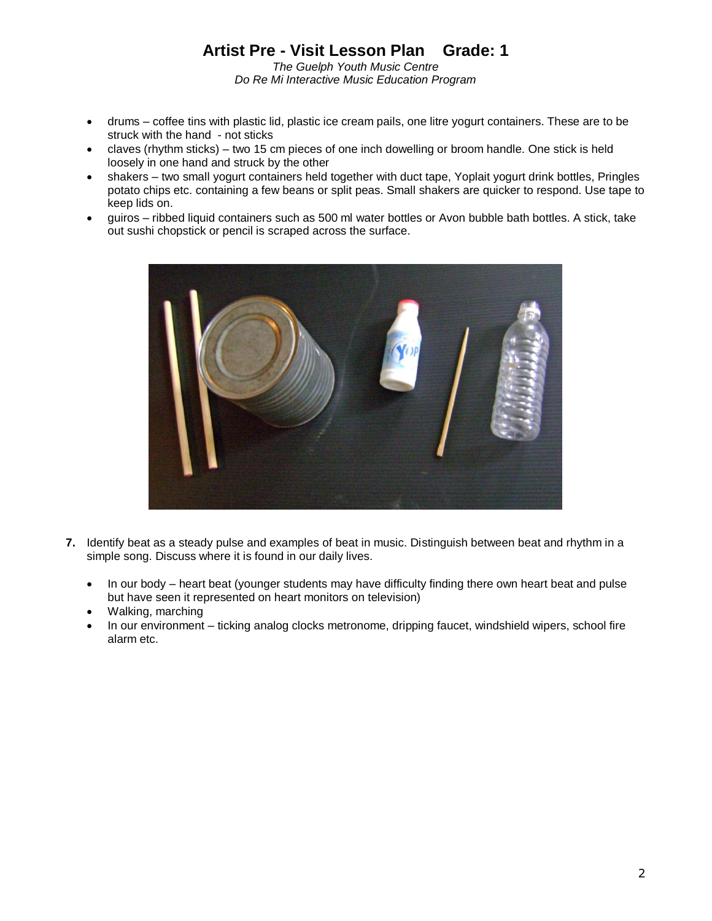*The Guelph Youth Music Centre Do Re Mi Interactive Music Education Program*

- drums coffee tins with plastic lid, plastic ice cream pails, one litre yogurt containers. These are to be struck with the hand - not sticks
- claves (rhythm sticks) two 15 cm pieces of one inch dowelling or broom handle. One stick is held loosely in one hand and struck by the other
- shakers two small yogurt containers held together with duct tape, Yoplait yogurt drink bottles, Pringles potato chips etc. containing a few beans or split peas. Small shakers are quicker to respond. Use tape to keep lids on.
- guiros ribbed liquid containers such as 500 ml water bottles or Avon bubble bath bottles. A stick, take out sushi chopstick or pencil is scraped across the surface.



- **7.** Identify beat as a steady pulse and examples of beat in music. Distinguish between beat and rhythm in a simple song. Discuss where it is found in our daily lives.
	- In our body heart beat (younger students may have difficulty finding there own heart beat and pulse but have seen it represented on heart monitors on television)
	- Walking, marching
	- In our environment ticking analog clocks metronome, dripping faucet, windshield wipers, school fire alarm etc.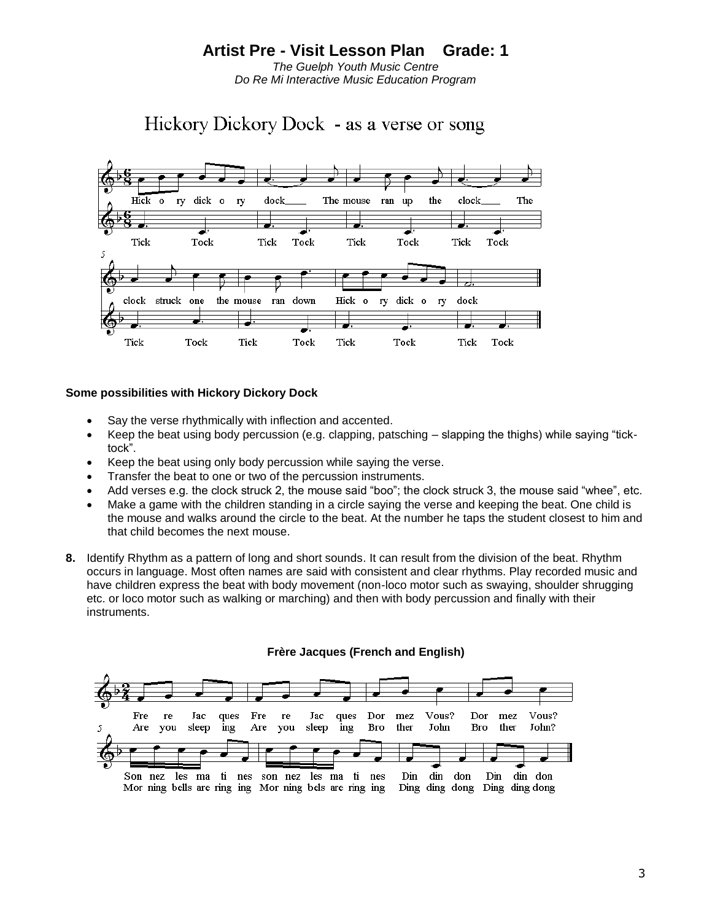*The Guelph Youth Music Centre Do Re Mi Interactive Music Education Program*

Hickory Dickory Dock - as a verse or song



#### **Some possibilities with Hickory Dickory Dock**

- Say the verse rhythmically with inflection and accented.
- Keep the beat using body percussion (e.g. clapping, patsching slapping the thighs) while saying "ticktock".
- Keep the beat using only body percussion while saying the verse.
- Transfer the beat to one or two of the percussion instruments.
- Add verses e.g. the clock struck 2, the mouse said "boo"; the clock struck 3, the mouse said "whee", etc.
- Make a game with the children standing in a circle saying the verse and keeping the beat. One child is the mouse and walks around the circle to the beat. At the number he taps the student closest to him and that child becomes the next mouse.
- **8.** Identify Rhythm as a pattern of long and short sounds. It can result from the division of the beat. Rhythm occurs in language. Most often names are said with consistent and clear rhythms. Play recorded music and have children express the beat with body movement (non-loco motor such as swaying, shoulder shrugging etc. or loco motor such as walking or marching) and then with body percussion and finally with their instruments.



### **Frère Jacques (French and English)**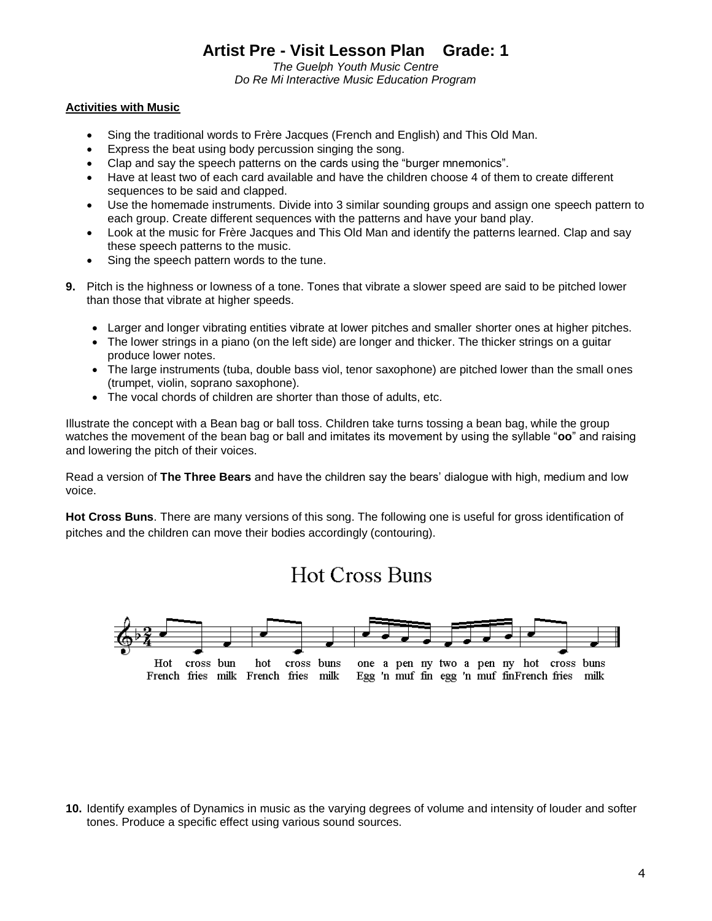*The Guelph Youth Music Centre Do Re Mi Interactive Music Education Program*

### **Activities with Music**

- Sing the traditional words to Frère Jacques (French and English) and This Old Man.
- Express the beat using body percussion singing the song.
- Clap and say the speech patterns on the cards using the "burger mnemonics".
- Have at least two of each card available and have the children choose 4 of them to create different sequences to be said and clapped.
- Use the homemade instruments. Divide into 3 similar sounding groups and assign one speech pattern to each group. Create different sequences with the patterns and have your band play.
- Look at the music for Frère Jacques and This Old Man and identify the patterns learned. Clap and say these speech patterns to the music.
- Sing the speech pattern words to the tune.
- **9.** Pitch is the highness or lowness of a tone. Tones that vibrate a slower speed are said to be pitched lower than those that vibrate at higher speeds.
	- Larger and longer vibrating entities vibrate at lower pitches and smaller shorter ones at higher pitches.
	- The lower strings in a piano (on the left side) are longer and thicker. The thicker strings on a guitar produce lower notes.
	- The large instruments (tuba, double bass viol, tenor saxophone) are pitched lower than the small ones (trumpet, violin, soprano saxophone).
	- The vocal chords of children are shorter than those of adults, etc.

Illustrate the concept with a Bean bag or ball toss. Children take turns tossing a bean bag, while the group watches the movement of the bean bag or ball and imitates its movement by using the syllable "**oo**" and raising and lowering the pitch of their voices.

Read a version of **The Three Bears** and have the children say the bears' dialogue with high, medium and low voice.

**Hot Cross Buns**. There are many versions of this song. The following one is useful for gross identification of pitches and the children can move their bodies accordingly (contouring).

# **Hot Cross Buns**



**<sup>10.</sup>** Identify examples of Dynamics in music as the varying degrees of volume and intensity of louder and softer tones. Produce a specific effect using various sound sources.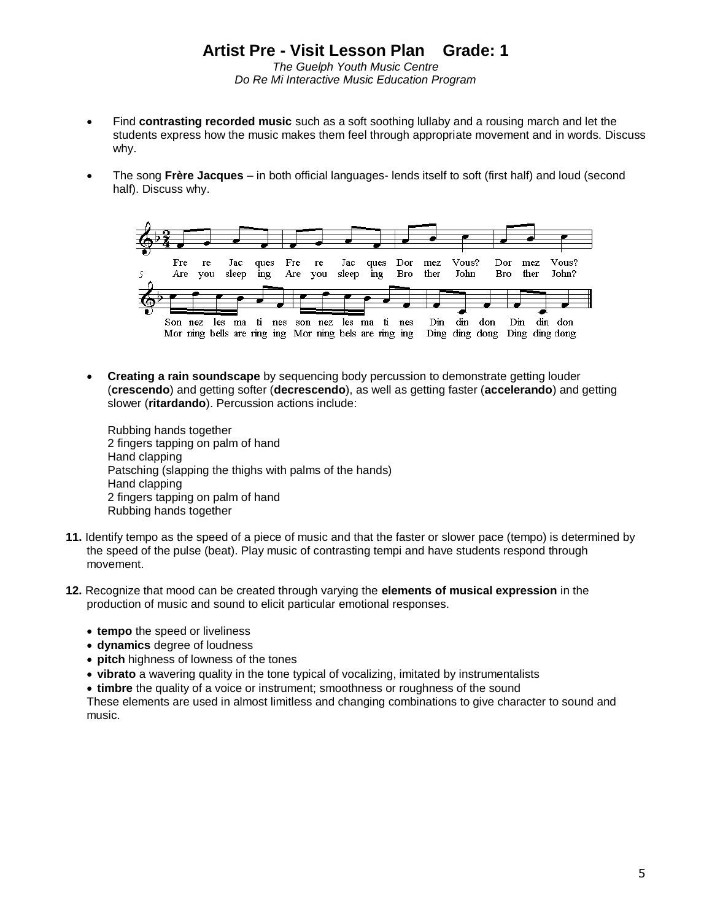*The Guelph Youth Music Centre Do Re Mi Interactive Music Education Program*

- Find **contrasting recorded music** such as a soft soothing lullaby and a rousing march and let the students express how the music makes them feel through appropriate movement and in words. Discuss why.
- The song **Frère Jacques** in both official languages- lends itself to soft (first half) and loud (second half). Discuss why.



 **Creating a rain soundscape** by sequencing body percussion to demonstrate getting louder (**crescendo**) and getting softer (**decrescendo**), as well as getting faster (**accelerando**) and getting slower (**ritardando**). Percussion actions include:

Rubbing hands together 2 fingers tapping on palm of hand Hand clapping Patsching (slapping the thighs with palms of the hands) Hand clapping 2 fingers tapping on palm of hand Rubbing hands together

- **11.** Identify tempo as the speed of a piece of music and that the faster or slower pace (tempo) is determined by the speed of the pulse (beat). Play music of contrasting tempi and have students respond through movement.
- **12.** Recognize that mood can be created through varying the **elements of musical expression** in the production of music and sound to elicit particular emotional responses.
	- **tempo** the speed or liveliness
	- **dynamics** degree of loudness
	- **pitch** highness of lowness of the tones
	- **vibrato** a wavering quality in the tone typical of vocalizing, imitated by instrumentalists
	- **timbre** the quality of a voice or instrument; smoothness or roughness of the sound

These elements are used in almost limitless and changing combinations to give character to sound and music.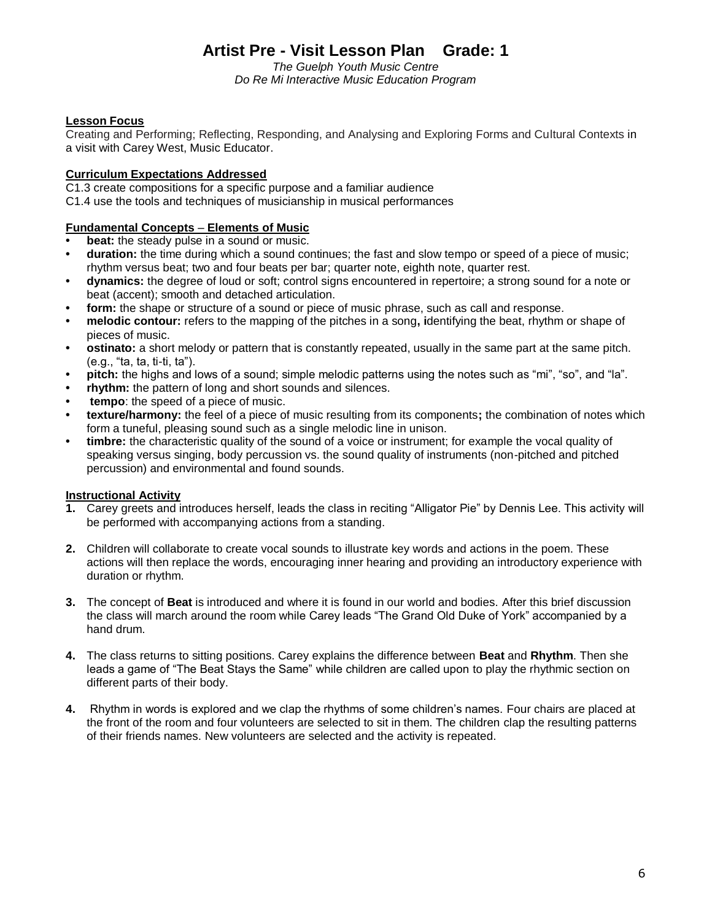*The Guelph Youth Music Centre Do Re Mi Interactive Music Education Program*

### **Lesson Focus**

Creating and Performing; Reflecting, Responding, and Analysing and Exploring Forms and Cultural Contexts in a visit with Carey West, Music Educator.

### **Curriculum Expectations Addressed**

C1.3 create compositions for a specific purpose and a familiar audience C1.4 use the tools and techniques of musicianship in musical performances

### **Fundamental Concepts** *–* **Elements of Music**

- **beat:** the steady pulse in a sound or music.
- **duration:** the time during which a sound continues; the fast and slow tempo or speed of a piece of music; rhythm versus beat; two and four beats per bar; quarter note, eighth note, quarter rest.
- **dynamics:** the degree of loud or soft; control signs encountered in repertoire; a strong sound for a note or beat (accent); smooth and detached articulation.
- **form:** the shape or structure of a sound or piece of music phrase, such as call and response.
- **melodic contour:** refers to the mapping of the pitches in a song**, i**dentifying the beat, rhythm or shape of pieces of music.
- **ostinato:** a short melody or pattern that is constantly repeated, usually in the same part at the same pitch. (e.g., "ta, ta, ti-ti, ta").
- **pitch:** the highs and lows of a sound; simple melodic patterns using the notes such as "mi", "so", and "la".
- **rhythm:** the pattern of long and short sounds and silences.
- **• tempo**: the speed of a piece of music.
- **texture/harmony:** the feel of a piece of music resulting from its components**;** the combination of notes which form a tuneful, pleasing sound such as a single melodic line in unison.
- **timbre:** the characteristic quality of the sound of a voice or instrument; for example the vocal quality of speaking versus singing, body percussion vs. the sound quality of instruments (non-pitched and pitched percussion) and environmental and found sounds.

### **Instructional Activity**

- **1.** Carey greets and introduces herself, leads the class in reciting "Alligator Pie" by Dennis Lee. This activity will be performed with accompanying actions from a standing.
- **2.** Children will collaborate to create vocal sounds to illustrate key words and actions in the poem. These actions will then replace the words, encouraging inner hearing and providing an introductory experience with duration or rhythm.
- **3.** The concept of **Beat** is introduced and where it is found in our world and bodies. After this brief discussion the class will march around the room while Carey leads "The Grand Old Duke of York" accompanied by a hand drum.
- **4.** The class returns to sitting positions. Carey explains the difference between **Beat** and **Rhythm**. Then she leads a game of "The Beat Stays the Same" while children are called upon to play the rhythmic section on different parts of their body.
- **4.** Rhythm in words is explored and we clap the rhythms of some children's names. Four chairs are placed at the front of the room and four volunteers are selected to sit in them. The children clap the resulting patterns of their friends names. New volunteers are selected and the activity is repeated.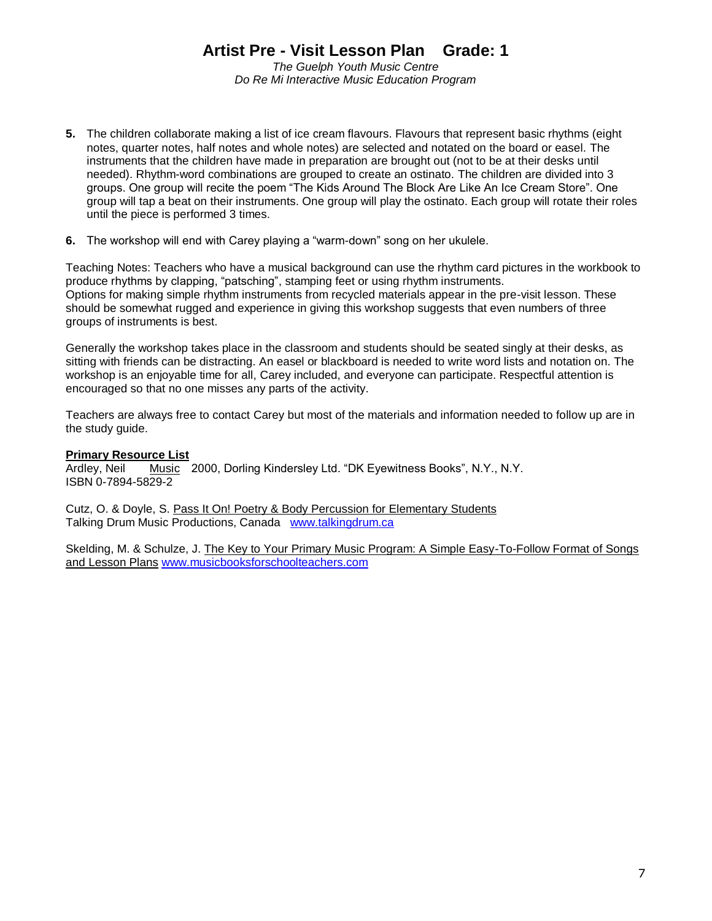*The Guelph Youth Music Centre Do Re Mi Interactive Music Education Program*

- **5.** The children collaborate making a list of ice cream flavours. Flavours that represent basic rhythms (eight notes, quarter notes, half notes and whole notes) are selected and notated on the board or easel. The instruments that the children have made in preparation are brought out (not to be at their desks until needed). Rhythm-word combinations are grouped to create an ostinato. The children are divided into 3 groups. One group will recite the poem "The Kids Around The Block Are Like An Ice Cream Store". One group will tap a beat on their instruments. One group will play the ostinato. Each group will rotate their roles until the piece is performed 3 times.
- **6.** The workshop will end with Carey playing a "warm-down" song on her ukulele.

Teaching Notes: Teachers who have a musical background can use the rhythm card pictures in the workbook to produce rhythms by clapping, "patsching", stamping feet or using rhythm instruments. Options for making simple rhythm instruments from recycled materials appear in the pre-visit lesson. These should be somewhat rugged and experience in giving this workshop suggests that even numbers of three groups of instruments is best.

Generally the workshop takes place in the classroom and students should be seated singly at their desks, as sitting with friends can be distracting. An easel or blackboard is needed to write word lists and notation on. The workshop is an enjoyable time for all, Carey included, and everyone can participate. Respectful attention is encouraged so that no one misses any parts of the activity.

Teachers are always free to contact Carey but most of the materials and information needed to follow up are in the study guide.

### **Primary Resource List**

Ardley, Neil Music 2000, Dorling Kindersley Ltd. "DK Eyewitness Books", N.Y., N.Y. ISBN 0-7894-5829-2

Cutz, O. & Doyle, S. Pass It On! Poetry & Body Percussion for Elementary Students Talking Drum Music Productions, Canada [www.talkingdrum.ca](http://www.talkingdrum.ca/)

Skelding, M. & Schulze, J. The Key to Your Primary Music Program: A Simple Easy-To-Follow Format of Songs and Lesson Plans [www.musicbooksforschoolteachers.com](http://www.musicbooksforschoolteachers.com/)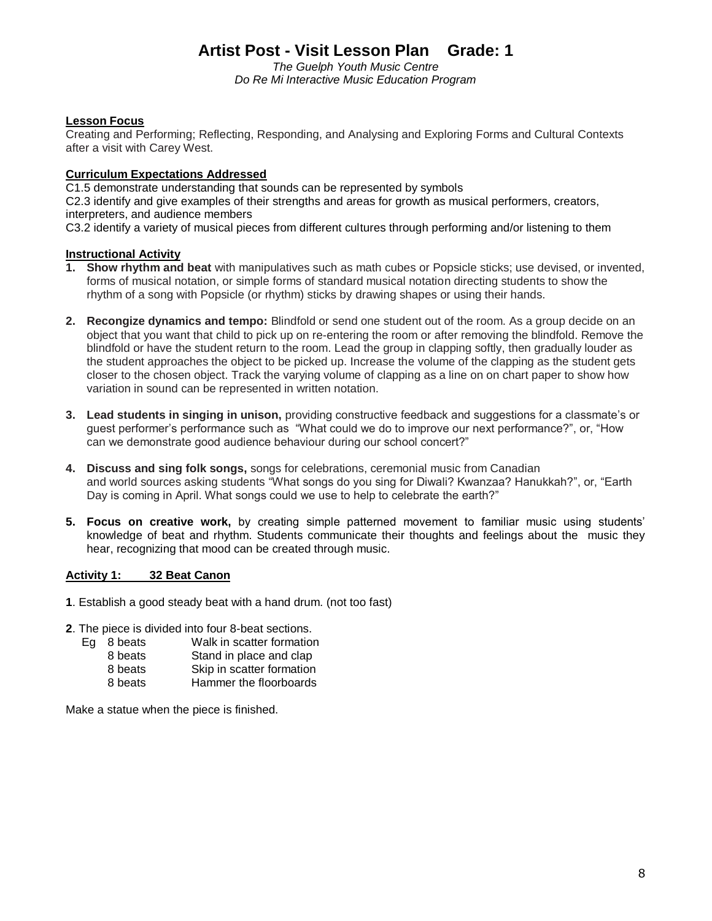*The Guelph Youth Music Centre Do Re Mi Interactive Music Education Program*

### **Lesson Focus**

Creating and Performing; Reflecting, Responding, and Analysing and Exploring Forms and Cultural Contexts after a visit with Carey West.

### **Curriculum Expectations Addressed**

C1.5 demonstrate understanding that sounds can be represented by symbols C2.3 identify and give examples of their strengths and areas for growth as musical performers, creators, interpreters, and audience members

C3.2 identify a variety of musical pieces from different cultures through performing and/or listening to them

### **Instructional Activity**

- **1. Show rhythm and beat** with manipulatives such as math cubes or Popsicle sticks; use devised, or invented, forms of musical notation, or simple forms of standard musical notation directing students to show the rhythm of a song with Popsicle (or rhythm) sticks by drawing shapes or using their hands.
- **2. Recongize dynamics and tempo:** Blindfold or send one student out of the room. As a group decide on an object that you want that child to pick up on re-entering the room or after removing the blindfold. Remove the blindfold or have the student return to the room. Lead the group in clapping softly, then gradually louder as the student approaches the object to be picked up. Increase the volume of the clapping as the student gets closer to the chosen object. Track the varying volume of clapping as a line on on chart paper to show how variation in sound can be represented in written notation.
- **3. Lead students in singing in unison,** providing constructive feedback and suggestions for a classmate's or guest performer's performance such as "What could we do to improve our next performance?", or, "How can we demonstrate good audience behaviour during our school concert?"
- **4. Discuss and sing folk songs,** songs for celebrations, ceremonial music from Canadian and world sources asking students "What songs do you sing for Diwali? Kwanzaa? Hanukkah?", or, "Earth Day is coming in April. What songs could we use to help to celebrate the earth?"
- **5. Focus on creative work,** by creating simple patterned movement to familiar music using students' knowledge of beat and rhythm. Students communicate their thoughts and feelings about the music they hear, recognizing that mood can be created through music.

### **Activity 1: 32 Beat Canon**

- **1**. Establish a good steady beat with a hand drum. (not too fast)
- **2**. The piece is divided into four 8-beat sections.<br>Eq 8 beats Walk in scatter formation
	- Walk in scatter formation 8 beats Stand in place and clap
		- 8 beats Skip in scatter formation
	- 8 beats Hammer the floorboards

Make a statue when the piece is finished.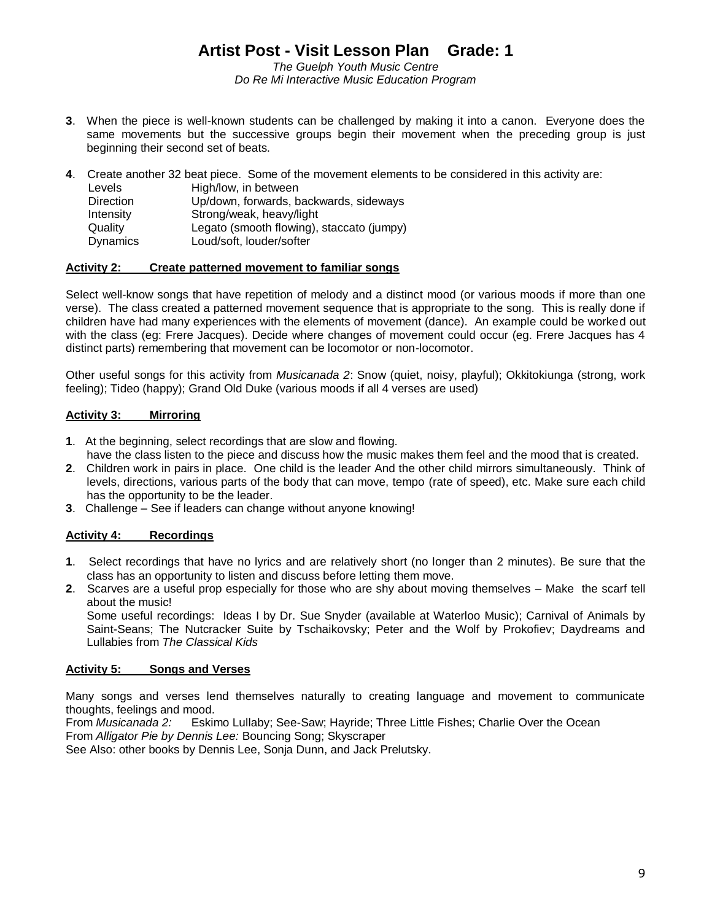*The Guelph Youth Music Centre Do Re Mi Interactive Music Education Program*

**3**. When the piece is well-known students can be challenged by making it into a canon. Everyone does the same movements but the successive groups begin their movement when the preceding group is just beginning their second set of beats.

**4**. Create another 32 beat piece. Some of the movement elements to be considered in this activity are: Levels High/low, in between Direction Up/down, forwards, backwards, sideways Intensity Strong/weak, heavy/light Quality Legato (smooth flowing), staccato (jumpy) Dynamics Loud/soft, louder/softer

#### **Activity 2: Create patterned movement to familiar songs**

Select well-know songs that have repetition of melody and a distinct mood (or various moods if more than one verse). The class created a patterned movement sequence that is appropriate to the song. This is really done if children have had many experiences with the elements of movement (dance). An example could be worked out with the class (eg: Frere Jacques). Decide where changes of movement could occur (eg. Frere Jacques has 4 distinct parts) remembering that movement can be locomotor or non-locomotor.

Other useful songs for this activity from *Musicanada 2*: Snow (quiet, noisy, playful); Okkitokiunga (strong, work feeling); Tideo (happy); Grand Old Duke (various moods if all 4 verses are used)

#### **Activity 3: Mirroring**

- **1**. At the beginning, select recordings that are slow and flowing.
- have the class listen to the piece and discuss how the music makes them feel and the mood that is created.
- **2**. Children work in pairs in place. One child is the leader And the other child mirrors simultaneously. Think of levels, directions, various parts of the body that can move, tempo (rate of speed), etc. Make sure each child has the opportunity to be the leader.
- **3**. Challenge See if leaders can change without anyone knowing!

### **Activity 4: Recordings**

- **1**. Select recordings that have no lyrics and are relatively short (no longer than 2 minutes). Be sure that the class has an opportunity to listen and discuss before letting them move.
- **2**. Scarves are a useful prop especially for those who are shy about moving themselves Make the scarf tell about the music!

Some useful recordings: Ideas I by Dr. Sue Snyder (available at Waterloo Music); Carnival of Animals by Saint-Seans; The Nutcracker Suite by Tschaikovsky; Peter and the Wolf by Prokofiev; Daydreams and Lullabies from *The Classical Kids*

#### **Activity 5: Songs and Verses**

Many songs and verses lend themselves naturally to creating language and movement to communicate thoughts, feelings and mood.

From *Musicanada 2:* Eskimo Lullaby; See-Saw; Hayride; Three Little Fishes; Charlie Over the Ocean From *Alligator Pie by Dennis Lee:* Bouncing Song; Skyscraper

See Also: other books by Dennis Lee, Sonja Dunn, and Jack Prelutsky.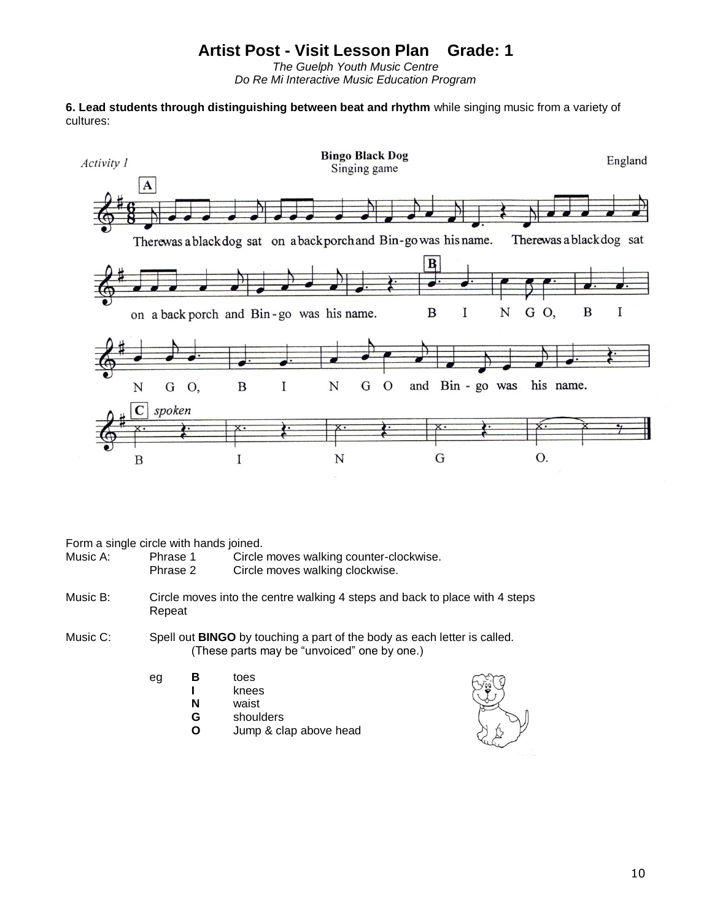*The Guelph Youth Music Centre Do Re Mi Interactive Music Education Program*

**6. Lead students through distinguishing between beat and rhythm** while singing music from a variety of cultures:



Form a single circle with hands joined.

| Music A:<br>Phrase 1 | Circle moves walking counter-clockwise. |
|----------------------|-----------------------------------------|
|----------------------|-----------------------------------------|

| Phrase 2 | Circle moves walking clockwise. |
|----------|---------------------------------|
|----------|---------------------------------|

- Music B: Circle moves into the centre walking 4 steps and back to place with 4 steps Repeat
- Music C: Spell out **BINGO** by touching a part of the body as each letter is called. (These parts may be "unvoiced" one by one.)
	- eg **B** toes
		- **I** knees
			- **N** waist
			- **G** shoulders
			- **O** Jump & clap above head

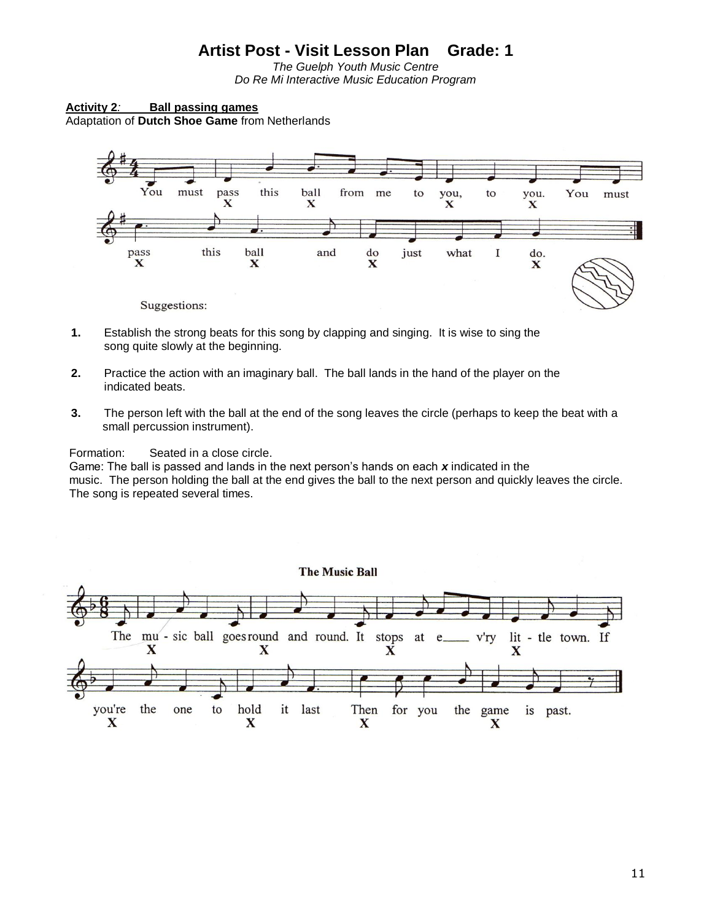*The Guelph Youth Music Centre Do Re Mi Interactive Music Education Program*

**Activity 2***:* **Ball passing games** Adaptation of **Dutch Shoe Game** from Netherlands



- **1.** Establish the strong beats for this song by clapping and singing. It is wise to sing the song quite slowly at the beginning.
- **2.** Practice the action with an imaginary ball. The ball lands in the hand of the player on the indicated beats.
- **3.** The person left with the ball at the end of the song leaves the circle (perhaps to keep the beat with a small percussion instrument).

Formation: Seated in a close circle.

Game: The ball is passed and lands in the next person's hands on each *x* indicated in the music. The person holding the ball at the end gives the ball to the next person and quickly leaves the circle. The song is repeated several times.